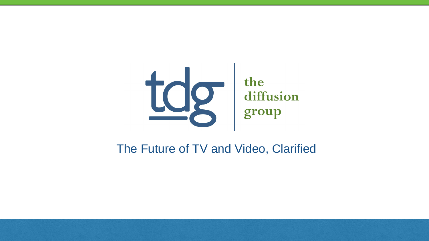

### The Future of TV and Video, Clarified

# the diffusion group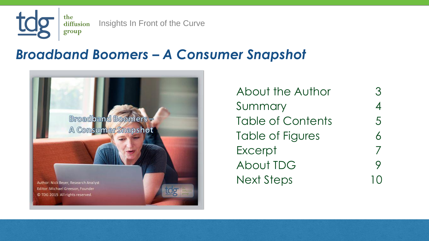

the Insights In Front of the Curve diffusion group

> About the Author 3 Summary 4 Table of Contents 5 Table of Figures 6 Excerpt About TDG 9 Next Steps 10

### *Broadband Boomers – A Consumer Snapshot*



Author: Nick Beyer, Research Analyst Editor: Michael Greeson, Founder © TDG 2015 All rights reserved.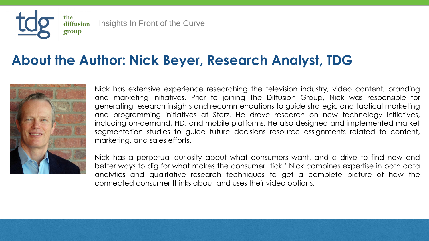Nick has extensive experience researching the television industry, video content, branding and marketing initiatives. Prior to joining The Diffusion Group, Nick was responsible for generating research insights and recommendations to guide strategic and tactical marketing and programming initiatives at Starz. He drove research on new technology initiatives, including on-demand, HD, and mobile platforms. He also designed and implemented market segmentation studies to guide future decisions resource assignments related to content, marketing, and sales efforts.

Nick has a perpetual curiosity about what consumers want, and a drive to find new and better ways to dig for what makes the consumer 'tick.' Nick combines expertise in both data analytics and qualitative research techniques to get a complete picture of how the connected consumer thinks about and uses their video options.





the diffusion Insights In Front of the Curve group

# **About the Author: Nick Beyer, Research Analyst, TDG**

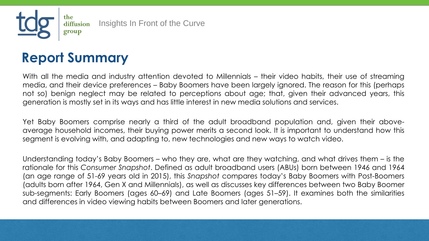With all the media and industry attention devoted to Millennials – their video habits, their use of streaming media, and their device preferences – Baby Boomers have been largely ignored. The reason for this (perhaps not so) benign neglect may be related to perceptions about age; that, given their advanced years, this generation is mostly set in its ways and has little interest in new media solutions and services.

Yet Baby Boomers comprise nearly a third of the adult broadband population and, given their aboveaverage household incomes, their buying power merits a second look. It is important to understand how this segment is evolving with, and adapting to, new technologies and new ways to watch video.

Understanding today's Baby Boomers – who they are, what are they watching, and what drives them – is the rationale for this *Consumer Snapshot*. Defined as adult broadband users (ABUs) born between 1946 and 1964 (an age range of 51-69 years old in 2015), this *Snapshot* compares today's Baby Boomers with Post-Boomers (adults born after 1964, Gen X and Millennials), as well as discusses key differences between two Baby Boomer sub-segments: Early Boomers (ages 60–69) and Late Boomers (ages 51–59). It examines both the similarities and differences in video viewing habits between Boomers and later generations.

the diffusion Insights In Front of the Curve group

# **Report Summary**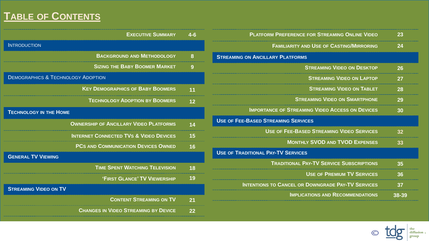### **TABLE OF CONTENTS**

| <b>EXECUTIVE SUMMARY</b>                          | 4-6 |
|---------------------------------------------------|-----|
| <b>INTRODUCTION</b>                               |     |
| <b>BACKGROUND AND METHODOLOGY</b>                 | 8   |
| <b>SIZING THE BABY BOOMER MARKET</b>              | 9   |
| <b>DEMOGRAPHICS &amp; TECHNOLOGY ADOPTION</b>     |     |
| <b>KEY DEMOGRAPHICS OF BABY BOOMERS</b>           | 11  |
| <b>TECHNOLOGY ADOPTION BY BOOMERS</b>             |     |
| <b>TECHNOLOGY IN THE HOME</b>                     |     |
| <b>OWNERSHIP OF ANCILLARY VIDEO PLATFORMS</b>     |     |
| <b>INTERNET CONNECTED TVS &amp; VIDEO DEVICES</b> | 15  |
| <b>PCS AND COMMUNICATION DEVICES OWNED</b>        | 16  |
| <b>GENERAL TV VIEWING</b>                         |     |
| <b>TIME SPENT WATCHING TELEVISION</b>             | 18  |
| 'FIRST GLANCE' TV VIEWERSHIP                      | 19  |
| <b>STREAMING VIDEO ON TV</b>                      |     |
| <b>CONTENT STREAMING ON TV</b>                    | 21  |
| <b>CHANGES IN VIDEO STREAMING BY DEVICE</b>       | つつ  |
|                                                   |     |

| <b>PLATFORM PREFERENCE FOR STREAMING ONLINE VIDEO</b>    | 23    |
|----------------------------------------------------------|-------|
| <b>FAMILIARITY AND USE OF CASTING/MIRRORING</b>          |       |
| <b>STREAMING ON ANCILLARY PLATFORMS</b>                  |       |
| <b>STREAMING VIDEO ON DESKTOP</b>                        | 26    |
| <b>STREAMING VIDEO ON LAPTOP</b>                         | 27    |
| <b>STREAMING VIDEO ON TABLET</b>                         | 28    |
| <b>STREAMING VIDEO ON SMARTPHONE</b>                     | 29    |
| <b>IMPORTANCE OF STREAMING VIDEO ACCESS ON DEVICES</b>   | 20    |
| <b>USE OF FEE-BASED STREAMING SERVICES</b>               |       |
| <b>USE OF FEE-BASED STREAMING VIDEO SERVICES</b>         |       |
| <b>MONTHLY SVOD AND TVOD EXPENSES</b>                    |       |
| <b>USE OF TRADITIONAL PAY-TV SERVICES</b>                |       |
| <b>TRADITIONAL PAY-TV SERVICE SUBSCRIPTIONS</b>          | 35    |
| <b>USE OF PREMIUM TV SERVICES</b>                        | 36    |
| <b>INTENTIONS TO CANCEL OR DOWNGRADE PAY-TV SERVICES</b> | 37    |
| <b>IMPLICATIONS AND RECOMMENDATIONS</b>                  | 38-39 |
|                                                          |       |

O tog diffusion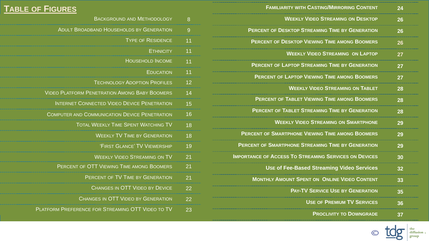### **TABLE OF FIGURES**

| 8  | <b>BACKGROUND AND METHODOLOGY</b>                    |
|----|------------------------------------------------------|
| 9  | <b>ADULT BROADBAND HOUSEHOLDS BY GENERATION</b>      |
| 11 | <b>TYPE OF RESIDENCE</b>                             |
| 11 | <b>ETHNICITY</b>                                     |
| 11 | <b>HOUSEHOLD INCOME</b>                              |
| 11 | <b>EDUCATION</b>                                     |
| 12 | <b>TECHNOLOGY ADOPTION PROFILES</b>                  |
| 14 | <b>VIDEO PLATFORM PENETRATION AMONG BABY BOOMERS</b> |
| 15 | <b>INTERNET CONNECTED VIDEO DEVICE PENETRATION</b>   |
| 16 | <b>COMPUTER AND COMMUNICATION DEVICE PENETRATION</b> |
| 18 | <b>TOTAL WEEKLY TIME SPENT WATCHING TV</b>           |
| 18 | <b>WEEKLY TV TIME BY GENERATION</b>                  |
| 19 | 'FIRST GLANCE' TV VIEWERSHIP                         |
| 21 | <b>WEEKLY VIDEO STREAMING ON TV</b>                  |
| 21 | PERCENT OF OTT VIEWING TIME AMONG BOOMERS            |
| 21 | <b>PERCENT OF TV TIME BY GENERATION</b>              |
| 22 | <b>CHANGES IN OTT VIDEO BY DEVICE</b>                |
| 22 | <b>CHANGES IN OTT VIDEO BY GENERATION</b>            |
| 23 | PLATFORM PREFERENCE FOR STREAMING OTT VIDEO TO TV    |
|    |                                                      |

| 24 | <b>FAMILIARITY WITH CASTING/MIRRORING CONTENT</b>            |
|----|--------------------------------------------------------------|
| 26 | <b>WEEKLY VIDEO STREAMING ON DESKTOP</b>                     |
| 26 | <b>PERCENT OF DESKTOP STREAMING TIME BY GENERATION</b>       |
| 26 | <b>PERCENT OF DESKTOP VIEWING TIME AMONG BOOMERS</b>         |
| 27 | <b>WEEKLY VIDEO STREAMING ON LAPTOP</b>                      |
| 27 | <b>PERCENT OF LAPTOP STREAMING TIME BY GENERATION</b>        |
| 27 | <b>PERCENT OF LAPTOP VIEWING TIME AMONG BOOMERS</b>          |
| 28 | <b>WEEKLY VIDEO STREAMING ON TABLET</b>                      |
| 28 | <b>PERCENT OF TABLET VIEWING TIME AMONG BOOMERS</b>          |
| 28 | <b>PERCENT OF TABLET STREAMING TIME BY GENERATION</b>        |
| 29 | <b>WEEKLY VIDEO STREAMING ON SMARTPHONE</b>                  |
| 29 | <b>PERCENT OF SMARTPHONE VIEWING TIME AMONG BOOMERS</b>      |
| 29 | <b>PERCENT OF SMARTPHONE STREAMING TIME BY GENERATION</b>    |
| 30 | <b>IMPORTANCE OF ACCESS TO STREAMING SERVICES ON DEVICES</b> |
| 32 | <b>USE of Fee-Based Streaming Video Services</b>             |
| 33 | <b>MONTHLY AMOUNT SPENT ON ONLINE VIDEO CONTENT</b>          |
| 35 | <b>PAY-TV SERVICE USE BY GENERATION</b>                      |
| 36 | <b>USE OF PREMIUM TV SERVICES</b>                            |
|    | <b>PROCLIVITY TO DOWNGRADE</b>                               |
|    |                                                              |

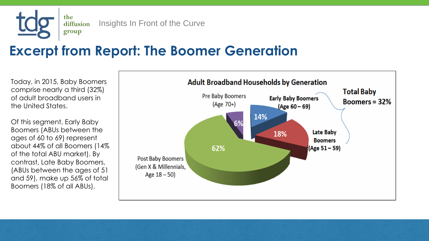the diffusion group

Insights In Front of the Curve

Today, in 2015, Baby Boomers comprise nearly a third (32%) of adult broadband users in the United States.

### **Excerpt from Report: The Boomer Generation**

Of this segment, Early Baby Boomers (ABUs between the ages of 60 to 69) represent about 44% of all Boomers (14% of the total ABU market). By contrast, Late Baby Boomers, (ABUs between the ages of 51 and 59), make up 56% of total Boomers (18% of all ABUs).

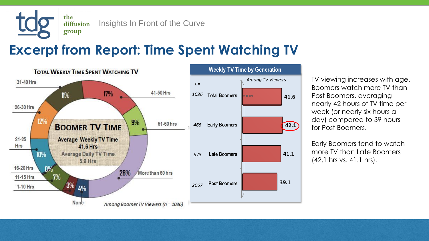the diffusion group

Insights In Front of the Curve

### **Excerpt from Report: Time Spent Watching TV**



TV viewing increases with age. Boomers watch more TV than Post Boomers, averaging nearly 42 hours of TV time per week (or nearly six hours a day) compared to 39 hours for Post Boomers.

Early Boomers tend to watch more TV than Late Boomers (42.1 hrs vs. 41.1 hrs).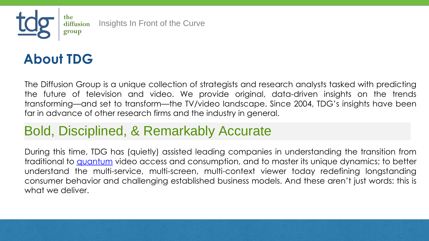

the diffusion Insights In Front of the Curve group

During this time, TDG has (quietly) assisted leading companies in understanding the transition from traditional to **[quantum](http://tdgresearch.com/toward-a-quantum-theory-of-media/)** video access and consumption, and to master its unique dynamics; to better understand the multi-service, multi-screen, multi-context viewer today redefining longstanding consumer behavior and challenging established business models. And these aren't just words: this is what we deliver.



The Diffusion Group is a unique collection of strategists and research analysts tasked with predicting the future of television and video. We provide original, data-driven insights on the trends transforming—and set to transform—the TV/video landscape. Since 2004, TDG's insights have been far in advance of other research firms and the industry in general.

### **About TDG**

### Bold, Disciplined, & Remarkably Accurate